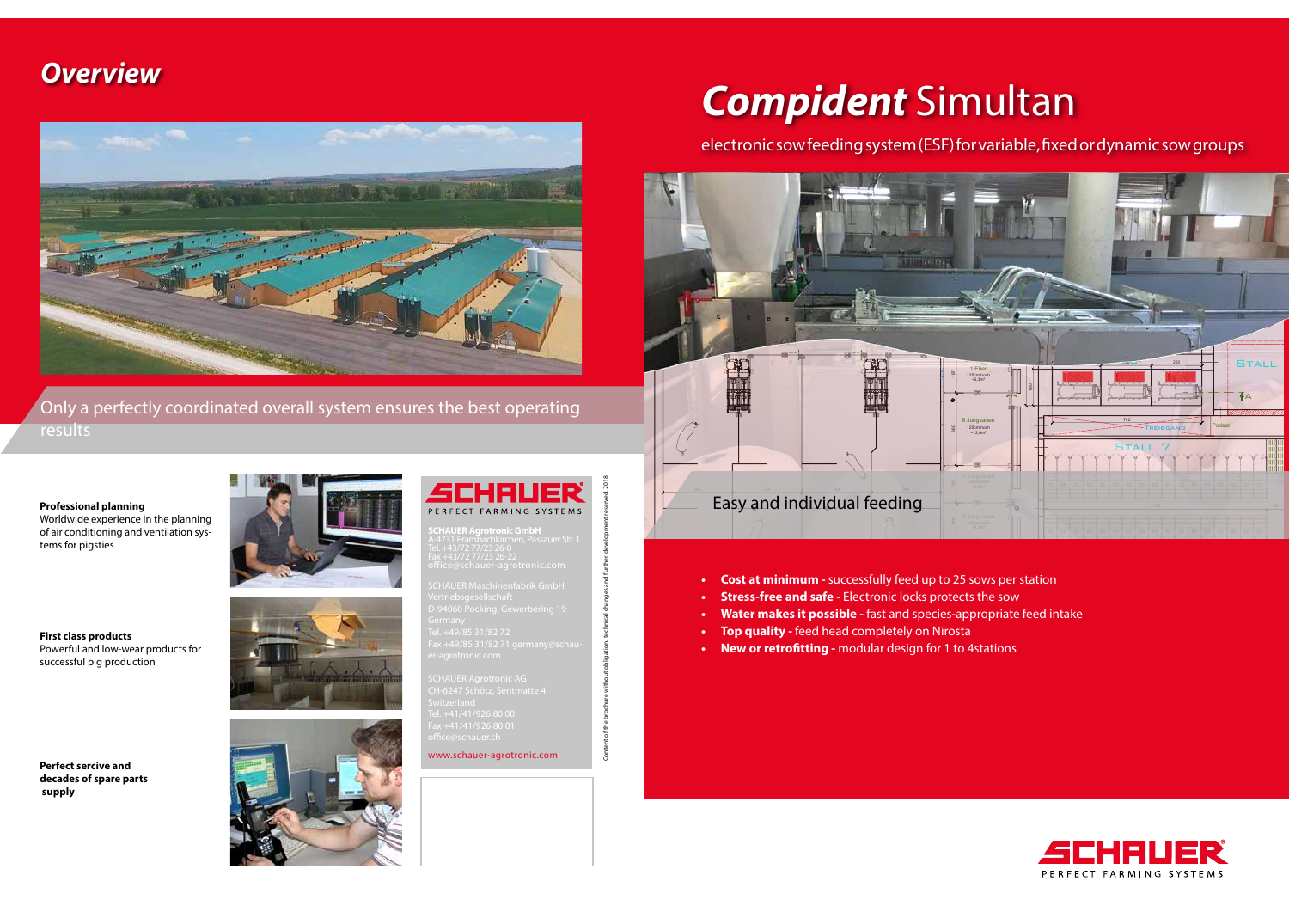

- Cost at minimum successfully feed up to 25 sows per station
- **Stress-free and safe -** Electronic locks protects the sow
- Water makes it possible fast and species-appropriate feed intake
- **• Top quality** feed head completely on Nirosta
- New or retrofitting modular design for 1 to 4stations

# electronic sow feeding system (ESF) for variable, fixed or dynamic sow groups



**THAUER Maschinenfabrik GmbH CHAUFR Agrotronic AG\_** CH-6247 Schötz, Sentmatte 4

# *Compident* Simultan

# *Overview*



**SCHAUER Agrotronic GmbH**

www.schauer-agrotronic.com

Content of the brochure without obligation, technical changes and further development reserved. 2018

Only a perfectly coordinated overall system ensures the best operating results

**Professional planning**

Worldwide experience in the planning of air conditioning and ventilation systems for pigsties

**First class products**  Powerful and low-wear products for successful pig production